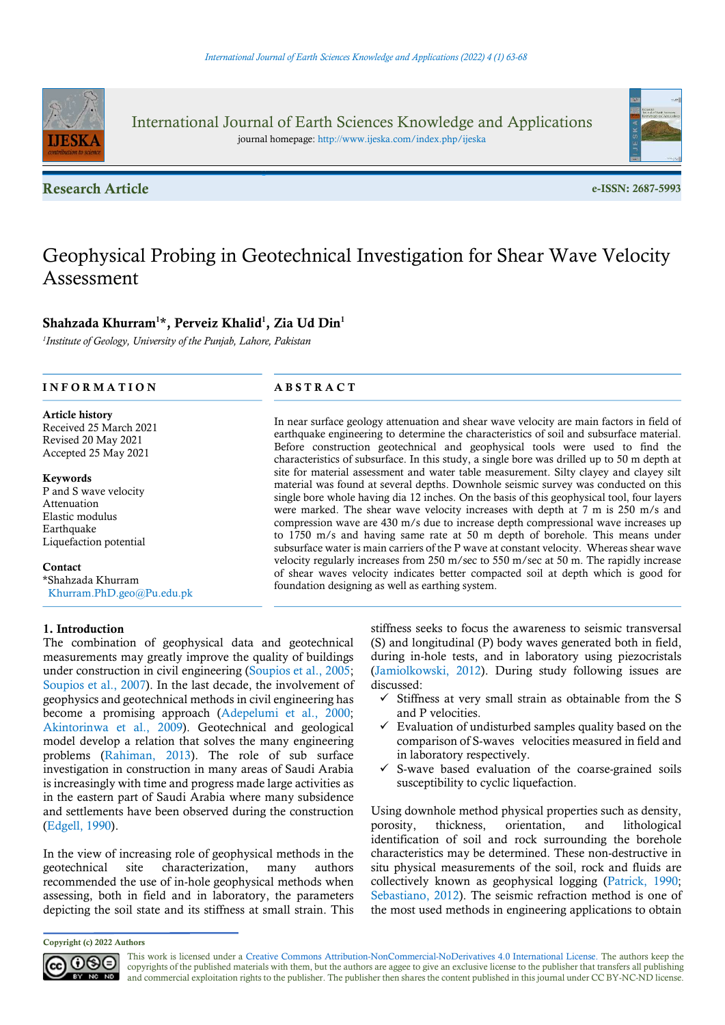

International Journal of Earth Sciences Knowledge and Applications journal homepage: http://www.ijeska.com/index.php/ijeska

**Research Article** e-ISSN: 2687-5993



# Geophysical Probing in Geotechnical Investigation for Shear Wave Velocity Assessment

# Shahzada Khurram<sup>1\*</sup>, Perveiz Khalid<sup>1</sup>, Zia Ud Din<sup>1</sup>

<sup>1</sup>Institute of Geology, University of the Punjab, Lahore, Pakistan

# INFORMATION ABSTRACT

Article history Received 25 March 2021 Revised 20 May 2021 Accepted 25 May 2021

#### Keywords

P and S wave velocity Attenuation Elastic modulus Earthquake Liquefaction potential

### **Contact**

\*Shahzada Khurram Khurram.PhD.geo@Pu.edu.pk

## 1. Introduction

The combination of geophysical data and geotechnical measurements may greatly improve the quality of buildings under construction in civil engineering (Soupios et al., 2005; Soupios et al., 2007). In the last decade, the involvement of geophysics and geotechnical methods in civil engineering has become a promising approach (Adepelumi et al., 2000; Akintorinwa et al., 2009). Geotechnical and geological model develop a relation that solves the many engineering problems (Rahiman, 2013). The role of sub surface investigation in construction in many areas of Saudi Arabia is increasingly with time and progress made large activities as in the eastern part of Saudi Arabia where many subsidence and settlements have been observed during the construction (Edgell, 1990).

In the view of increasing role of geophysical methods in the geotechnical site characterization, many authors recommended the use of in-hole geophysical methods when assessing, both in field and in laboratory, the parameters depicting the soil state and its stiffness at small strain. This

In near surface geology attenuation and shear wave velocity are main factors in field of earthquake engineering to determine the characteristics of soil and subsurface material. Before construction geotechnical and geophysical tools were used to find the characteristics of subsurface. In this study, a single bore was drilled up to 50 m depth at site for material assessment and water table measurement. Silty clayey and clayey silt material was found at several depths. Downhole seismic survey was conducted on this single bore whole having dia 12 inches. On the basis of this geophysical tool, four layers were marked. The shear wave velocity increases with depth at 7 m is 250 m/s and compression wave are 430 m/s due to increase depth compressional wave increases up to 1750 m/s and having same rate at 50 m depth of borehole. This means under subsurface water is main carriers of the P wave at constant velocity. Whereas shear wave velocity regularly increases from 250 m/sec to 550 m/sec at 50 m. The rapidly increase of shear waves velocity indicates better compacted soil at depth which is good for foundation designing as well as earthing system.

> stiffness seeks to focus the awareness to seismic transversal (S) and longitudinal (P) body waves generated both in field, during in-hole tests, and in laboratory using piezocristals (Jamiolkowski, 2012). During study following issues are discussed:

- $\checkmark$  Stiffness at very small strain as obtainable from the S and P velocities.
- $\checkmark$  Evaluation of undisturbed samples quality based on the comparison of S-waves velocities measured in field and in laboratory respectively.
- $\checkmark$  S-wave based evaluation of the coarse-grained soils susceptibility to cyclic liquefaction.

Using downhole method physical properties such as density, porosity, thickness, orientation, and lithological identification of soil and rock surrounding the borehole characteristics may be determined. These non-destructive in situ physical measurements of the soil, rock and fluids are collectively known as geophysical logging (Patrick, 1990; Sebastiano, 2012). The seismic refraction method is one of the most used methods in engineering applications to obtain

Copyright (c) 2022 Authors

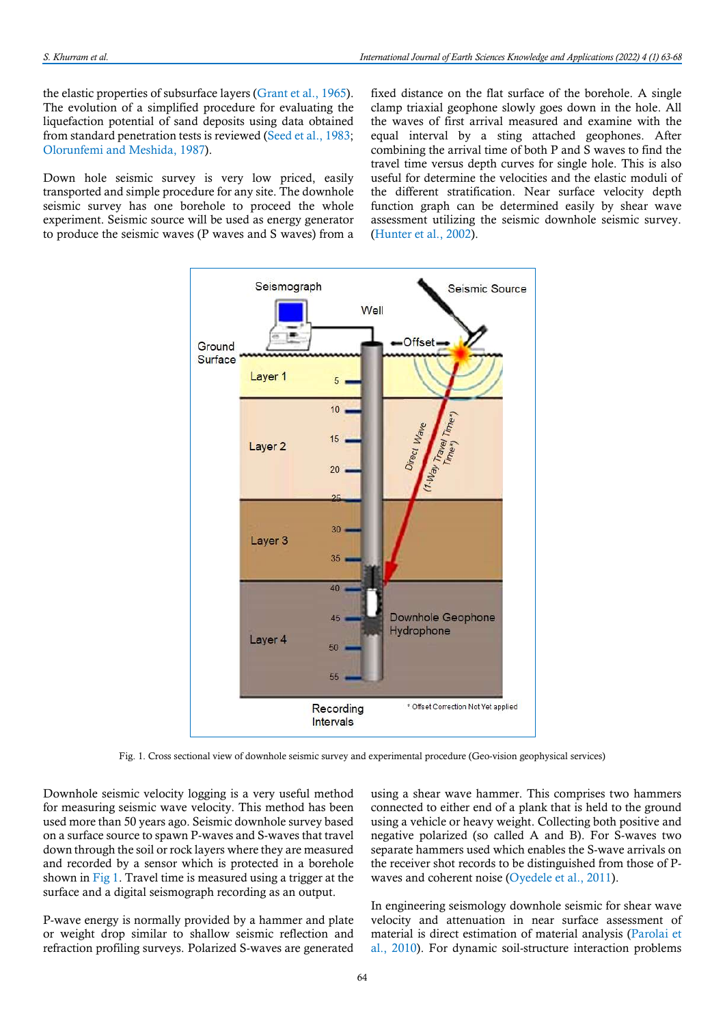the elastic properties of subsurface layers (Grant et al., 1965). The evolution of a simplified procedure for evaluating the liquefaction potential of sand deposits using data obtained from standard penetration tests is reviewed (Seed et al., 1983; Olorunfemi and Meshida, 1987).

Down hole seismic survey is very low priced, easily transported and simple procedure for any site. The downhole seismic survey has one borehole to proceed the whole experiment. Seismic source will be used as energy generator to produce the seismic waves (P waves and S waves) from a

fixed distance on the flat surface of the borehole. A single clamp triaxial geophone slowly goes down in the hole. All the waves of first arrival measured and examine with the equal interval by a sting attached geophones. After combining the arrival time of both P and S waves to find the travel time versus depth curves for single hole. This is also useful for determine the velocities and the elastic moduli of the different stratification. Near surface velocity depth function graph can be determined easily by shear wave assessment utilizing the seismic downhole seismic survey. (Hunter et al., 2002).



Fig. 1. Cross sectional view of downhole seismic survey and experimental procedure (Geo-vision geophysical services)

Downhole seismic velocity logging is a very useful method for measuring seismic wave velocity. This method has been used more than 50 years ago. Seismic downhole survey based on a surface source to spawn P-waves and S-waves that travel down through the soil or rock layers where they are measured and recorded by a sensor which is protected in a borehole shown in Fig 1. Travel time is measured using a trigger at the surface and a digital seismograph recording as an output.

P-wave energy is normally provided by a hammer and plate or weight drop similar to shallow seismic reflection and refraction profiling surveys. Polarized S-waves are generated using a shear wave hammer. This comprises two hammers connected to either end of a plank that is held to the ground using a vehicle or heavy weight. Collecting both positive and negative polarized (so called A and B). For S-waves two separate hammers used which enables the S-wave arrivals on the receiver shot records to be distinguished from those of Pwaves and coherent noise (Oyedele et al., 2011).

In engineering seismology downhole seismic for shear wave velocity and attenuation in near surface assessment of material is direct estimation of material analysis (Parolai et al., 2010). For dynamic soil-structure interaction problems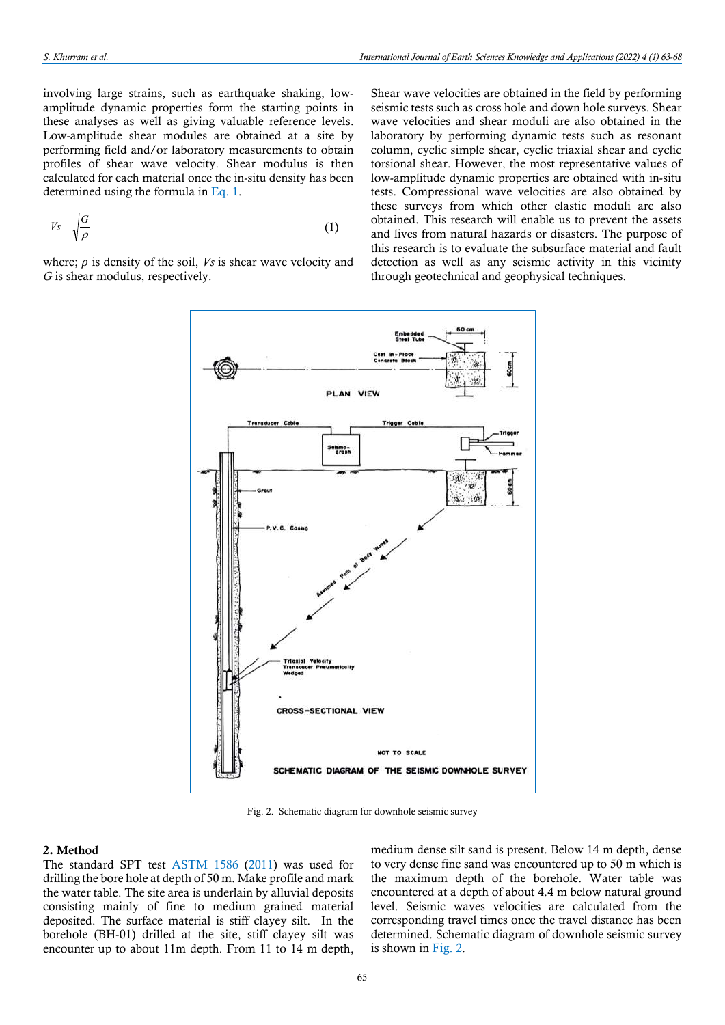involving large strains, such as earthquake shaking, lowamplitude dynamic properties form the starting points in these analyses as well as giving valuable reference levels. Low-amplitude shear modules are obtained at a site by performing field and/or laboratory measurements to obtain profiles of shear wave velocity. Shear modulus is then calculated for each material once the in-situ density has been determined using the formula in Eq. 1.

$$
V_s = \sqrt{\frac{G}{\rho}}\tag{1}
$$

where;  $\rho$  is density of the soil, Vs is shear wave velocity and G is shear modulus, respectively.

Shear wave velocities are obtained in the field by performing seismic tests such as cross hole and down hole surveys. Shear wave velocities and shear moduli are also obtained in the laboratory by performing dynamic tests such as resonant column, cyclic simple shear, cyclic triaxial shear and cyclic torsional shear. However, the most representative values of low-amplitude dynamic properties are obtained with in-situ tests. Compressional wave velocities are also obtained by these surveys from which other elastic moduli are also obtained. This research will enable us to prevent the assets and lives from natural hazards or disasters. The purpose of this research is to evaluate the subsurface material and fault detection as well as any seismic activity in this vicinity through geotechnical and geophysical techniques.



Fig. 2. Schematic diagram for downhole seismic survey

#### 2. Method

The standard SPT test ASTM 1586 (2011) was used for drilling the bore hole at depth of 50 m. Make profile and mark the water table. The site area is underlain by alluvial deposits consisting mainly of fine to medium grained material deposited. The surface material is stiff clayey silt. In the borehole (BH-01) drilled at the site, stiff clayey silt was encounter up to about 11m depth. From 11 to 14 m depth,

medium dense silt sand is present. Below 14 m depth, dense to very dense fine sand was encountered up to 50 m which is the maximum depth of the borehole. Water table was encountered at a depth of about 4.4 m below natural ground level. Seismic waves velocities are calculated from the corresponding travel times once the travel distance has been determined. Schematic diagram of downhole seismic survey is shown in Fig. 2.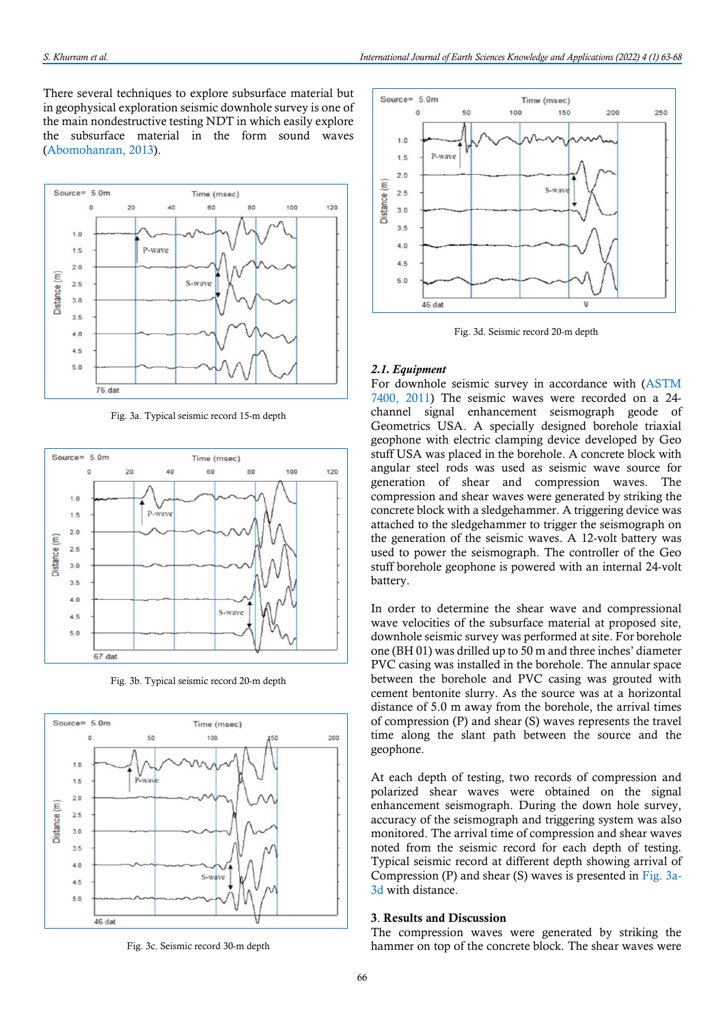There several techniques to explore subsurface material but in geophysical exploration seismic downhole survey is one of the main nondestructive testing NDT in which easily explore the subsurface material in the form sound waves (Abomohanran, 2013).



Fig. 3a. Typical seismic record 15-m depth



Fig. 3b. Typical seismic record 20-m depth



Fig. 3c. Seismic record 30-m depth



Fig. 3d. Seismic record 20-m depth

#### 2.1. Equipment

For downhole seismic survey in accordance with (ASTM 7400, 2011) The seismic waves were recorded on a 24 channel signal enhancement seismograph geode of Geometrics USA. A specially designed borehole triaxial geophone with electric clamping device developed by Geo stuff USA was placed in the borehole. A concrete block with angular steel rods was used as seismic wave source for generation of shear and compression waves. The compression and shear waves were generated by striking the concrete block with a sledgehammer. A triggering device was attached to the sledgehammer to trigger the seismograph on the generation of the seismic waves. A 12-volt battery was used to power the seismograph. The controller of the Geo stuff borehole geophone is powered with an internal 24-volt battery.

In order to determine the shear wave and compressional wave velocities of the subsurface material at proposed site, downhole seismic survey was performed at site. For borehole one (BH 01) was drilled up to 50 m and three inches' diameter PVC casing was installed in the borehole. The annular space between the borehole and PVC casing was grouted with cement bentonite slurry. As the source was at a horizontal distance of 5.0 m away from the borehole, the arrival times of compression (P) and shear (S) waves represents the travel time along the slant path between the source and the geophone.

At each depth of testing, two records of compression and polarized shear waves were obtained on the signal enhancement seismograph. During the down hole survey, accuracy of the seismograph and triggering system was also monitored. The arrival time of compression and shear waves noted from the seismic record for each depth of testing. Typical seismic record at different depth showing arrival of Compression (P) and shear (S) waves is presented in Fig.  $3a$ -3d with distance.

#### 3. Results and Discussion

The compression waves were generated by striking the hammer on top of the concrete block. The shear waves were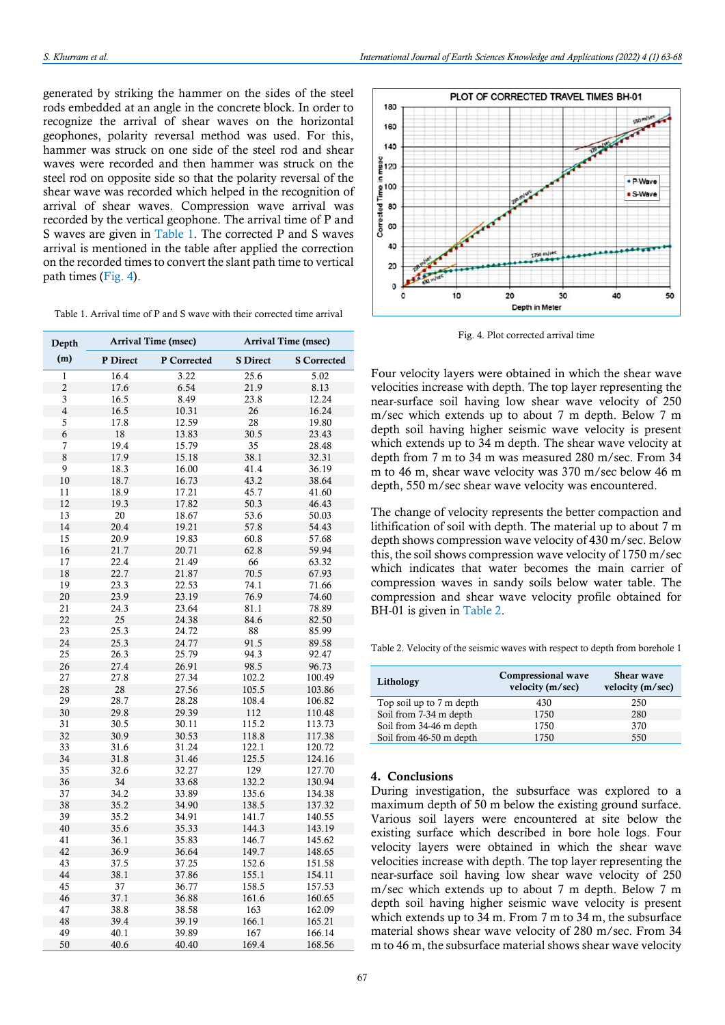generated by striking the hammer on the sides of the steel rods embedded at an angle in the concrete block. In order to recognize the arrival of shear waves on the horizontal geophones, polarity reversal method was used. For this, hammer was struck on one side of the steel rod and shear waves were recorded and then hammer was struck on the steel rod on opposite side so that the polarity reversal of the shear wave was recorded which helped in the recognition of arrival of shear waves. Compression wave arrival was recorded by the vertical geophone. The arrival time of P and S waves are given in Table 1. The corrected P and S waves arrival is mentioned in the table after applied the correction on the recorded times to convert the slant path time to vertical path times (Fig. 4).

Table 1. Arrival time of P and S wave with their corrected time arrival

| Depth                   | <b>Arrival Time (msec)</b> |             | Arrival Time (msec) |                    |
|-------------------------|----------------------------|-------------|---------------------|--------------------|
| (m)                     | P Direct                   | P Corrected | <b>S</b> Direct     | <b>S</b> Corrected |
| $\mathbf{1}$            | 16.4                       | 3.22        | 25.6                | 5.02               |
| $\overline{c}$          | 17.6                       | 6.54        | 21.9                | 8.13               |
| $\overline{\mathbf{3}}$ | 16.5                       | 8.49        | 23.8                | 12.24              |
| $\overline{4}$          | 16.5                       | 10.31       | 26                  | 16.24              |
| 5                       | 17.8                       | 12.59       | 28                  | 19.80              |
| 6                       | 18                         | 13.83       | 30.5                | 23.43              |
| $\overline{7}$          | 19.4                       | 15.79       | 35                  | 28.48              |
| 8                       | 17.9                       | 15.18       | 38.1                | 32.31              |
| 9                       | 18.3                       | 16.00       | 41.4                | 36.19              |
| 10                      | 18.7                       | 16.73       | 43.2                | 38.64              |
| 11                      | 18.9                       | 17.21       | 45.7                | 41.60              |
| 12                      | 19.3                       | 17.82       | 50.3                | 46.43              |
| 13                      | 20                         | 18.67       | 53.6                | 50.03              |
| 14                      | 20.4                       | 19.21       | 57.8                | 54.43              |
| 15                      | 20.9                       | 19.83       | 60.8                | 57.68              |
| 16                      | 21.7                       | 20.71       | 62.8                | 59.94              |
| 17                      | 22.4                       | 21.49       | 66                  | 63.32              |
| $18\,$                  | 22.7                       | 21.87       | 70.5                | 67.93              |
| 19                      | 23.3                       | 22.53       | 74.1                | 71.66              |
| 20                      | 23.9                       | 23.19       | 76.9                | 74.60              |
| 21                      | 24.3                       | 23.64       | 81.1                | 78.89              |
| 22                      | 25                         | 24.38       | 84.6                | 82.50              |
| 23                      | 25.3                       | 24.72       | 88                  | 85.99              |
| 24                      | 25.3                       | 24.77       | 91.5                | 89.58              |
| 25                      | 26.3                       | 25.79       | 94.3                | 92.47              |
| 26                      | 27.4                       | 26.91       | 98.5                | 96.73              |
| 27                      | 27.8                       | 27.34       | 102.2               | 100.49             |
| 28                      | 28                         | 27.56       | 105.5               | 103.86             |
| 29                      | 28.7                       | 28.28       | 108.4               | 106.82             |
| 30                      | 29.8                       | 29.39       | 112                 | 110.48             |
| 31                      | 30.5                       | 30.11       | 115.2               | 113.73             |
| 32                      | 30.9                       | 30.53       | 118.8               | 117.38             |
| 33                      | 31.6                       | 31.24       | 122.1               | 120.72             |
| 34                      | 31.8                       | 31.46       | 125.5               | 124.16             |
| 35                      | 32.6                       | 32.27       | 129                 | 127.70             |
| 36                      | 34                         | 33.68       | 132.2               | 130.94             |
| 37                      | 34.2                       | 33.89       | 135.6               | 134.38             |
| 38                      | 35.2                       | 34.90       | 138.5               | 137.32             |
| 39                      | 35.2                       | 34.91       | 141.7               | 140.55             |
| 40                      | 35.6                       | 35.33       | 144.3               | 143.19             |
| 41                      | 36.1                       | 35.83       | 146.7               | 145.62             |
| 42                      | 36.9                       | 36.64       | 149.7               | 148.65             |
| 43                      | 37.5                       | 37.25       | 152.6               | 151.58             |
| 44                      | 38.1                       | 37.86       | 155.1               | 154.11             |
| 45                      | 37                         | 36.77       | 158.5               | 157.53             |
| 46                      | 37.1                       | 36.88       | 161.6               | 160.65             |
| 47                      | 38.8                       | 38.58       | 163                 | 162.09             |
| 48                      | 39.4                       | 39.19       | 166.1               | 165.21             |
| 49                      | 40.1                       | 39.89       | 167                 | 166.14             |
| 50                      | 40.6                       | 40.40       | 169.4               | 168.56             |



Fig. 4. Plot corrected arrival time

Four velocity layers were obtained in which the shear wave velocities increase with depth. The top layer representing the near-surface soil having low shear wave velocity of 250 m/sec which extends up to about 7 m depth. Below 7 m depth soil having higher seismic wave velocity is present which extends up to 34 m depth. The shear wave velocity at depth from 7 m to 34 m was measured 280 m/sec. From 34 m to 46 m, shear wave velocity was 370 m/sec below 46 m depth, 550 m/sec shear wave velocity was encountered.

The change of velocity represents the better compaction and lithification of soil with depth. The material up to about 7 m depth shows compression wave velocity of 430 m/sec. Below this, the soil shows compression wave velocity of 1750 m/sec which indicates that water becomes the main carrier of compression waves in sandy soils below water table. The compression and shear wave velocity profile obtained for BH-01 is given in Table 2.

Table 2. Velocity of the seismic waves with respect to depth from borehole 1

| Lithology                | Compressional wave<br>velocity (m/sec) | <b>Shear wave</b><br>velocity (m/sec) |
|--------------------------|----------------------------------------|---------------------------------------|
| Top soil up to 7 m depth | 430                                    | 250                                   |
| Soil from 7-34 m depth   | 1750                                   | 280                                   |
| Soil from 34-46 m depth  | 1750                                   | 370                                   |
| Soil from 46-50 m depth  | 1750                                   | 550                                   |

#### 4. Conclusions

During investigation, the subsurface was explored to a maximum depth of 50 m below the existing ground surface. Various soil layers were encountered at site below the existing surface which described in bore hole logs. Four velocity layers were obtained in which the shear wave velocities increase with depth. The top layer representing the near-surface soil having low shear wave velocity of 250 m/sec which extends up to about 7 m depth. Below 7 m depth soil having higher seismic wave velocity is present which extends up to 34 m. From 7 m to 34 m, the subsurface material shows shear wave velocity of 280 m/sec. From 34 m to 46 m, the subsurface material shows shear wave velocity